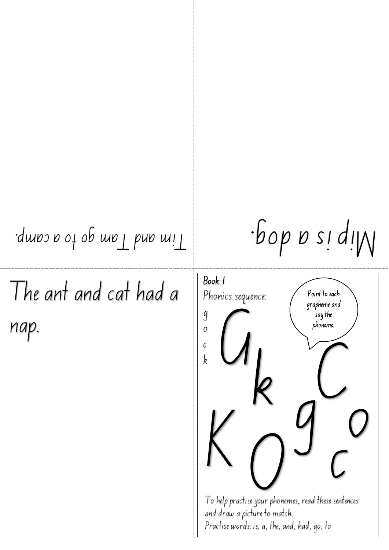## Tim and Tam go to a camp. a dog. Mip is

The ant and cat had a nap.

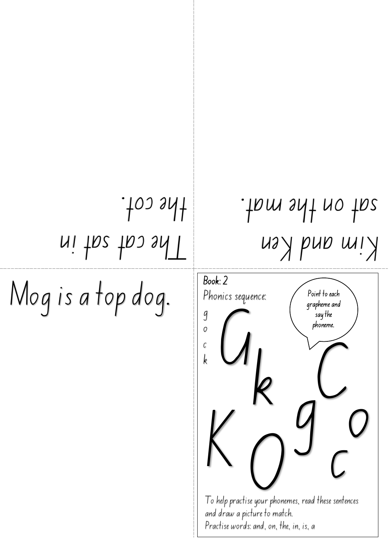## The cat sat in  $.100.941$

Mog is a top dog.

## Kim and Ken sat on the mat.

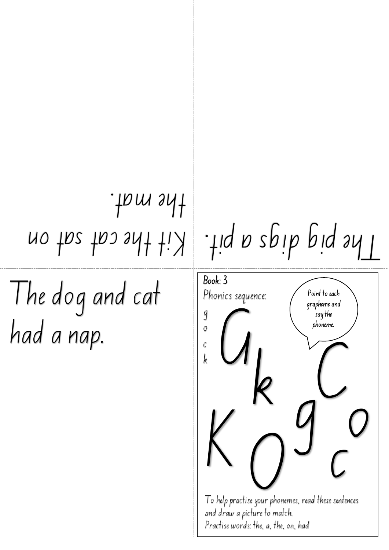## Kit the cat sat on . the mat

The dog and cat had a nap.

The pig digs a pit.